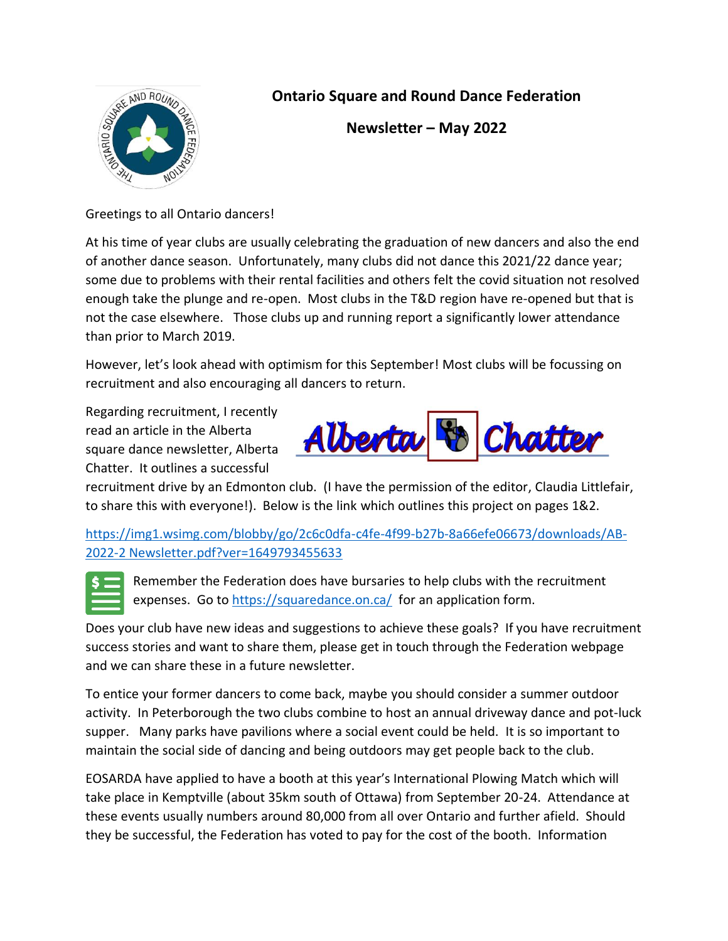

## **Ontario Square and Round Dance Federation**

**Newsletter – May 2022**

Greetings to all Ontario dancers!

At his time of year clubs are usually celebrating the graduation of new dancers and also the end of another dance season. Unfortunately, many clubs did not dance this 2021/22 dance year; some due to problems with their rental facilities and others felt the covid situation not resolved enough take the plunge and re-open. Most clubs in the T&D region have re-opened but that is not the case elsewhere. Those clubs up and running report a significantly lower attendance than prior to March 2019.

However, let's look ahead with optimism for this September! Most clubs will be focussing on recruitment and also encouraging all dancers to return.

Regarding recruitment, I recently read an article in the Alberta square dance newsletter, Alberta Chatter. It outlines a successful



recruitment drive by an Edmonton club. (I have the permission of the editor, Claudia Littlefair, to share this with everyone!). Below is the link which outlines this project on pages 1&2.

[https://img1.wsimg.com/blobby/go/2c6c0dfa-c4fe-4f99-b27b-8a66efe06673/downloads/AB-](https://img1.wsimg.com/blobby/go/2c6c0dfa-c4fe-4f99-b27b-8a66efe06673/downloads/AB-2022-2%20Newsletter.pdf?ver=1649793455633)[2022-2 Newsletter.pdf?ver=1649793455633](https://img1.wsimg.com/blobby/go/2c6c0dfa-c4fe-4f99-b27b-8a66efe06673/downloads/AB-2022-2%20Newsletter.pdf?ver=1649793455633)



Remember the Federation does have bursaries to help clubs with the recruitment expenses. Go to<https://squaredance.on.ca/> for an application form.

Does your club have new ideas and suggestions to achieve these goals? If you have recruitment success stories and want to share them, please get in touch through the Federation webpage and we can share these in a future newsletter.

To entice your former dancers to come back, maybe you should consider a summer outdoor activity. In Peterborough the two clubs combine to host an annual driveway dance and pot-luck supper. Many parks have pavilions where a social event could be held. It is so important to maintain the social side of dancing and being outdoors may get people back to the club.

EOSARDA have applied to have a booth at this year's International Plowing Match which will take place in Kemptville (about 35km south of Ottawa) from September 20-24. Attendance at these events usually numbers around 80,000 from all over Ontario and further afield. Should they be successful, the Federation has voted to pay for the cost of the booth. Information